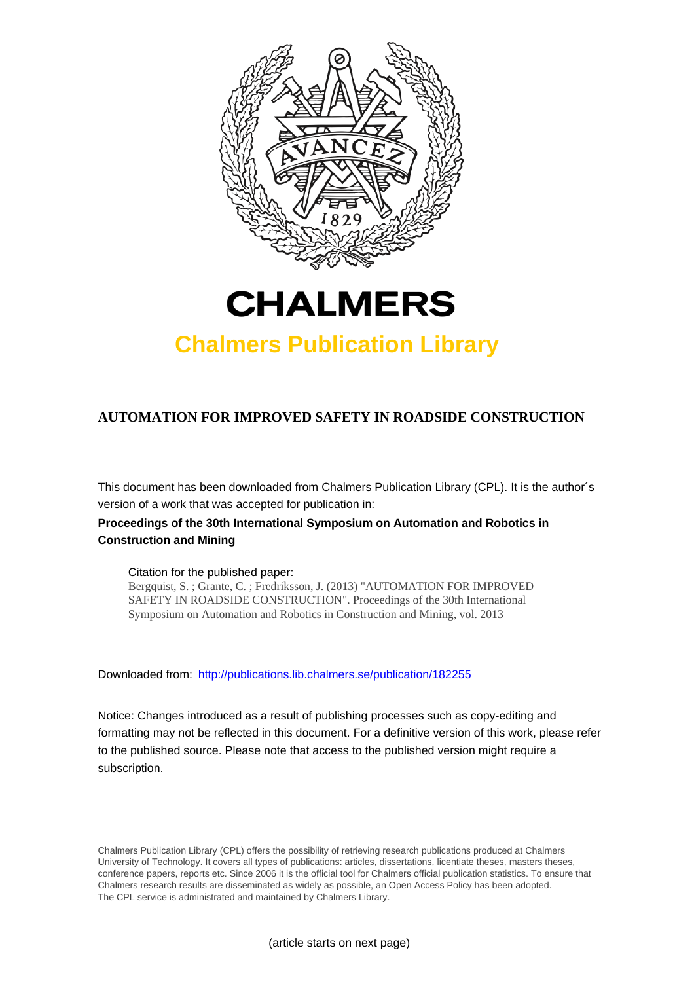



# **Chalmers Publication Library**

# **AUTOMATION FOR IMPROVED SAFETY IN ROADSIDE CONSTRUCTION**

This document has been downloaded from Chalmers Publication Library (CPL). It is the author´s version of a work that was accepted for publication in:

# **Proceedings of the 30th International Symposium on Automation and Robotics in Construction and Mining**

## Citation for the published paper:

Bergquist, S. ; Grante, C. ; Fredriksson, J. (2013) "AUTOMATION FOR IMPROVED SAFETY IN ROADSIDE CONSTRUCTION". Proceedings of the 30th International Symposium on Automation and Robotics in Construction and Mining, vol. 2013

Downloaded from: <http://publications.lib.chalmers.se/publication/182255>

Notice: Changes introduced as a result of publishing processes such as copy-editing and formatting may not be reflected in this document. For a definitive version of this work, please refer to the published source. Please note that access to the published version might require a subscription.

Chalmers Publication Library (CPL) offers the possibility of retrieving research publications produced at Chalmers University of Technology. It covers all types of publications: articles, dissertations, licentiate theses, masters theses, conference papers, reports etc. Since 2006 it is the official tool for Chalmers official publication statistics. To ensure that Chalmers research results are disseminated as widely as possible, an Open Access Policy has been adopted. The CPL service is administrated and maintained by Chalmers Library.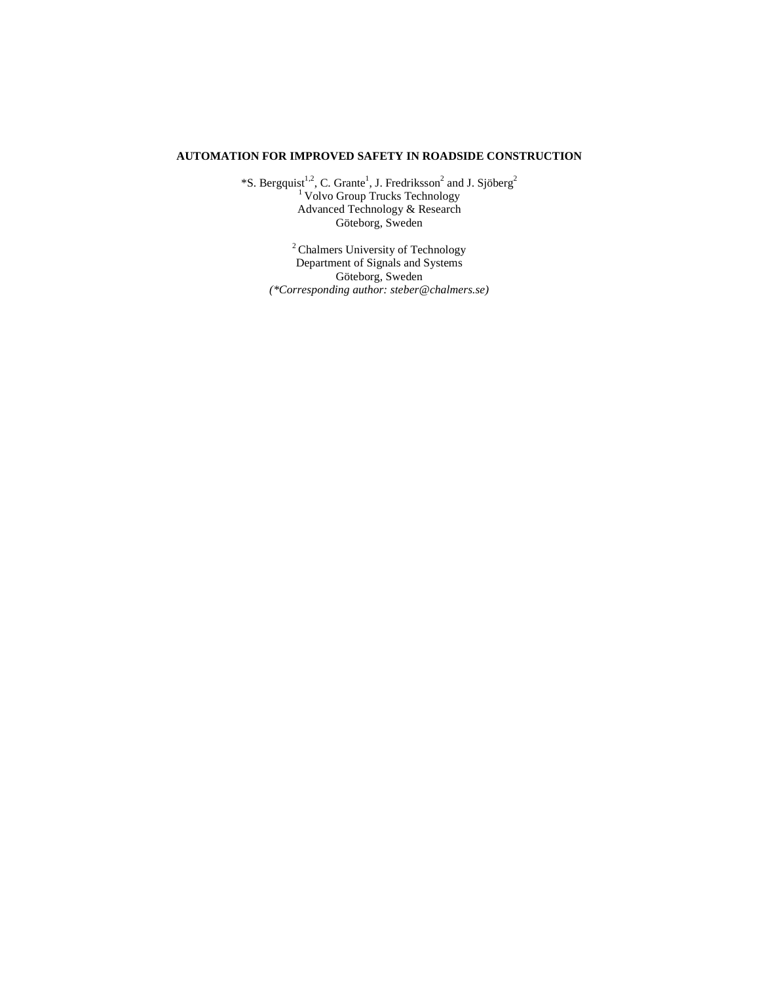# **AUTOMATION FOR IMPROVED SAFETY IN ROADSIDE CONSTRUCTION**

\*S. Bergquist<sup>1,2</sup>, C. Grante<sup>1</sup>, J. Fredriksson<sup>2</sup> and J. Sjöberg<sup>2</sup> <sup>1</sup> Volvo Group Trucks Technology Advanced Technology & Research Göteborg, Sweden

<sup>2</sup> Chalmers University of Technology Department of Signals and Systems Göteborg, Sweden *(\*Corresponding author: steber@chalmers.se)*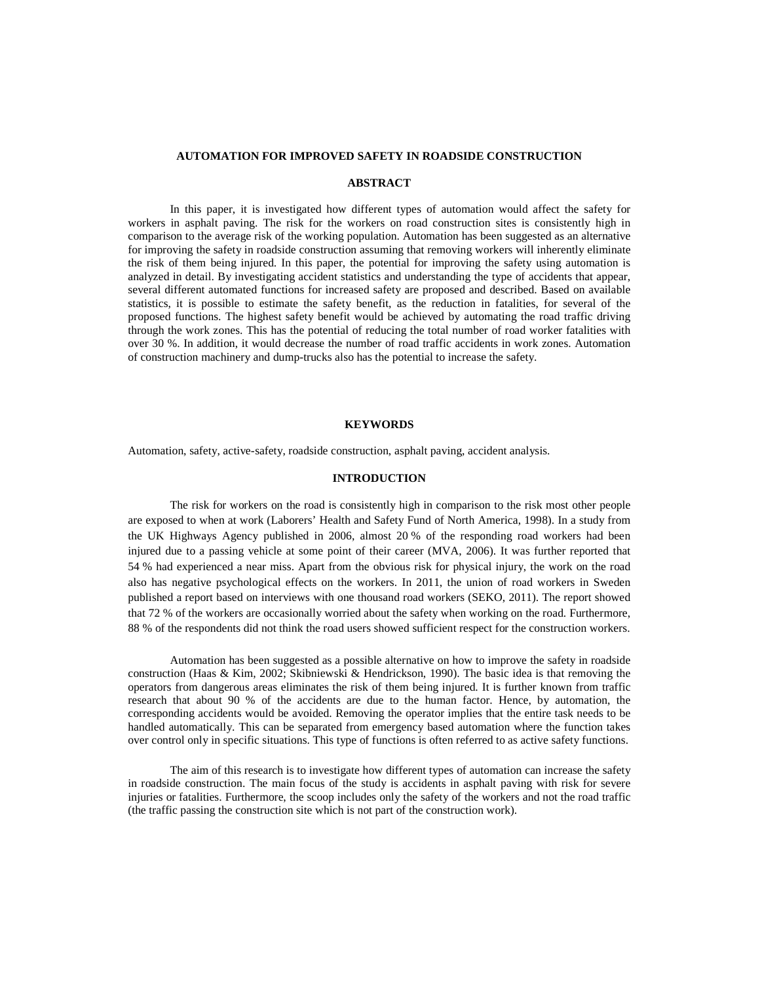#### **AUTOMATION FOR IMPROVED SAFETY IN ROADSIDE CONSTRUCTION**

#### **ABSTRACT**

In this paper, it is investigated how different types of automation would affect the safety for workers in asphalt paving. The risk for the workers on road construction sites is consistently high in comparison to the average risk of the working population. Automation has been suggested as an alternative for improving the safety in roadside construction assuming that removing workers will inherently eliminate the risk of them being injured. In this paper, the potential for improving the safety using automation is analyzed in detail. By investigating accident statistics and understanding the type of accidents that appear, several different automated functions for increased safety are proposed and described. Based on available statistics, it is possible to estimate the safety benefit, as the reduction in fatalities, for several of the proposed functions. The highest safety benefit would be achieved by automating the road traffic driving through the work zones. This has the potential of reducing the total number of road worker fatalities with over 30 %. In addition, it would decrease the number of road traffic accidents in work zones. Automation of construction machinery and dump-trucks also has the potential to increase the safety.

## **KEYWORDS**

Automation, safety, active-safety, roadside construction, asphalt paving, accident analysis.

## **INTRODUCTION**

The risk for workers on the road is consistently high in comparison to the risk most other people are exposed to when at work (Laborers' Health and Safety Fund of North America, 1998). In a study from the UK Highways Agency published in 2006, almost 20 % of the responding road workers had been injured due to a passing vehicle at some point of their career (MVA, 2006). It was further reported that 54 % had experienced a near miss. Apart from the obvious risk for physical injury, the work on the road also has negative psychological effects on the workers. In 2011, the union of road workers in Sweden published a report based on interviews with one thousand road workers (SEKO, 2011). The report showed that 72 % of the workers are occasionally worried about the safety when working on the road. Furthermore, 88 % of the respondents did not think the road users showed sufficient respect for the construction workers.

Automation has been suggested as a possible alternative on how to improve the safety in roadside construction (Haas & Kim, 2002; Skibniewski & Hendrickson, 1990). The basic idea is that removing the operators from dangerous areas eliminates the risk of them being injured. It is further known from traffic research that about 90 % of the accidents are due to the human factor. Hence, by automation, the corresponding accidents would be avoided. Removing the operator implies that the entire task needs to be handled automatically. This can be separated from emergency based automation where the function takes over control only in specific situations. This type of functions is often referred to as active safety functions.

The aim of this research is to investigate how different types of automation can increase the safety in roadside construction. The main focus of the study is accidents in asphalt paving with risk for severe injuries or fatalities. Furthermore, the scoop includes only the safety of the workers and not the road traffic (the traffic passing the construction site which is not part of the construction work).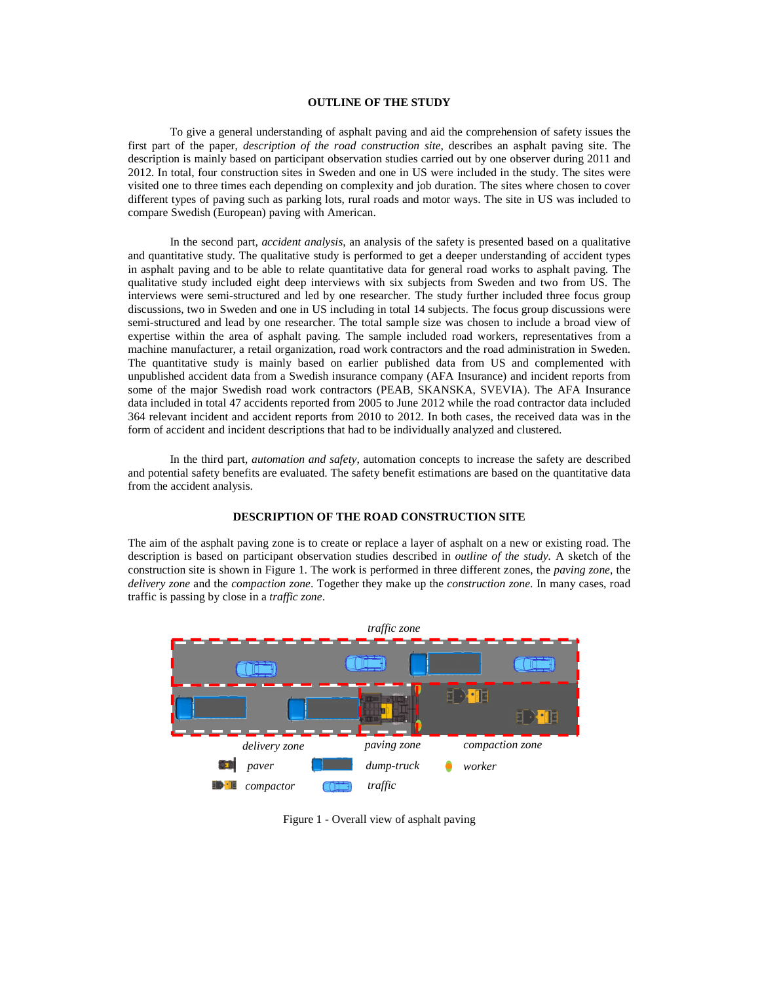# **OUTLINE OF THE STUDY**

To give a general understanding of asphalt paving and aid the comprehension of safety issues the first part of the paper, *description of the road construction site*, describes an asphalt paving site. The description is mainly based on participant observation studies carried out by one observer during 2011 and 2012. In total, four construction sites in Sweden and one in US were included in the study. The sites were visited one to three times each depending on complexity and job duration. The sites where chosen to cover different types of paving such as parking lots, rural roads and motor ways. The site in US was included to compare Swedish (European) paving with American.

In the second part, *accident analysis*, an analysis of the safety is presented based on a qualitative and quantitative study. The qualitative study is performed to get a deeper understanding of accident types in asphalt paving and to be able to relate quantitative data for general road works to asphalt paving. The qualitative study included eight deep interviews with six subjects from Sweden and two from US. The interviews were semi-structured and led by one researcher. The study further included three focus group discussions, two in Sweden and one in US including in total 14 subjects. The focus group discussions were semi-structured and lead by one researcher. The total sample size was chosen to include a broad view of expertise within the area of asphalt paving. The sample included road workers, representatives from a machine manufacturer, a retail organization, road work contractors and the road administration in Sweden. The quantitative study is mainly based on earlier published data from US and complemented with unpublished accident data from a Swedish insurance company (AFA Insurance) and incident reports from some of the major Swedish road work contractors (PEAB, SKANSKA, SVEVIA). The AFA Insurance data included in total 47 accidents reported from 2005 to June 2012 while the road contractor data included 364 relevant incident and accident reports from 2010 to 2012. In both cases, the received data was in the form of accident and incident descriptions that had to be individually analyzed and clustered.

In the third part, *automation and safety*, automation concepts to increase the safety are described and potential safety benefits are evaluated. The safety benefit estimations are based on the quantitative data from the accident analysis.

#### **DESCRIPTION OF THE ROAD CONSTRUCTION SITE**

The aim of the asphalt paving zone is to create or replace a layer of asphalt on a new or existing road. The description is based on participant observation studies described in *outline of the study.* A sketch of the construction site is shown in Figure 1. The work is performed in three different zones, the *paving zone*, the *delivery zone* and the *compaction zone*. Together they make up the *construction zone*. In many cases, road traffic is passing by close in a *traffic zone*.



Figure 1 - Overall view of asphalt paving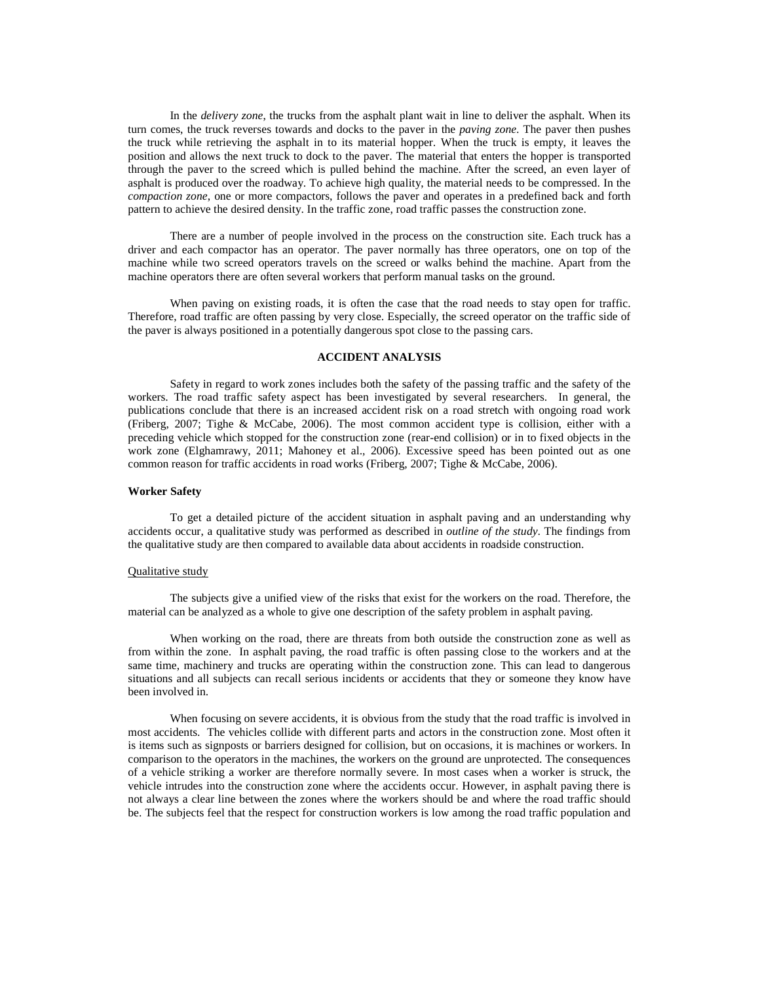In the *delivery zone*, the trucks from the asphalt plant wait in line to deliver the asphalt. When its turn comes, the truck reverses towards and docks to the paver in the *paving zone*. The paver then pushes the truck while retrieving the asphalt in to its material hopper. When the truck is empty, it leaves the position and allows the next truck to dock to the paver. The material that enters the hopper is transported through the paver to the screed which is pulled behind the machine. After the screed, an even layer of asphalt is produced over the roadway. To achieve high quality, the material needs to be compressed. In the *compaction zone*, one or more compactors, follows the paver and operates in a predefined back and forth pattern to achieve the desired density. In the traffic zone, road traffic passes the construction zone.

There are a number of people involved in the process on the construction site. Each truck has a driver and each compactor has an operator. The paver normally has three operators, one on top of the machine while two screed operators travels on the screed or walks behind the machine. Apart from the machine operators there are often several workers that perform manual tasks on the ground.

When paving on existing roads, it is often the case that the road needs to stay open for traffic. Therefore, road traffic are often passing by very close. Especially, the screed operator on the traffic side of the paver is always positioned in a potentially dangerous spot close to the passing cars.

#### **ACCIDENT ANALYSIS**

Safety in regard to work zones includes both the safety of the passing traffic and the safety of the workers. The road traffic safety aspect has been investigated by several researchers. In general, the publications conclude that there is an increased accident risk on a road stretch with ongoing road work (Friberg, 2007; Tighe & McCabe, 2006). The most common accident type is collision, either with a preceding vehicle which stopped for the construction zone (rear-end collision) or in to fixed objects in the work zone (Elghamrawy, 2011; Mahoney et al., 2006). Excessive speed has been pointed out as one common reason for traffic accidents in road works (Friberg, 2007; Tighe & McCabe, 2006).

## **Worker Safety**

To get a detailed picture of the accident situation in asphalt paving and an understanding why accidents occur, a qualitative study was performed as described in *outline of the study*. The findings from the qualitative study are then compared to available data about accidents in roadside construction.

#### Qualitative study

The subjects give a unified view of the risks that exist for the workers on the road. Therefore, the material can be analyzed as a whole to give one description of the safety problem in asphalt paving.

When working on the road, there are threats from both outside the construction zone as well as from within the zone. In asphalt paving, the road traffic is often passing close to the workers and at the same time, machinery and trucks are operating within the construction zone. This can lead to dangerous situations and all subjects can recall serious incidents or accidents that they or someone they know have been involved in.

When focusing on severe accidents, it is obvious from the study that the road traffic is involved in most accidents. The vehicles collide with different parts and actors in the construction zone. Most often it is items such as signposts or barriers designed for collision, but on occasions, it is machines or workers. In comparison to the operators in the machines, the workers on the ground are unprotected. The consequences of a vehicle striking a worker are therefore normally severe. In most cases when a worker is struck, the vehicle intrudes into the construction zone where the accidents occur. However, in asphalt paving there is not always a clear line between the zones where the workers should be and where the road traffic should be. The subjects feel that the respect for construction workers is low among the road traffic population and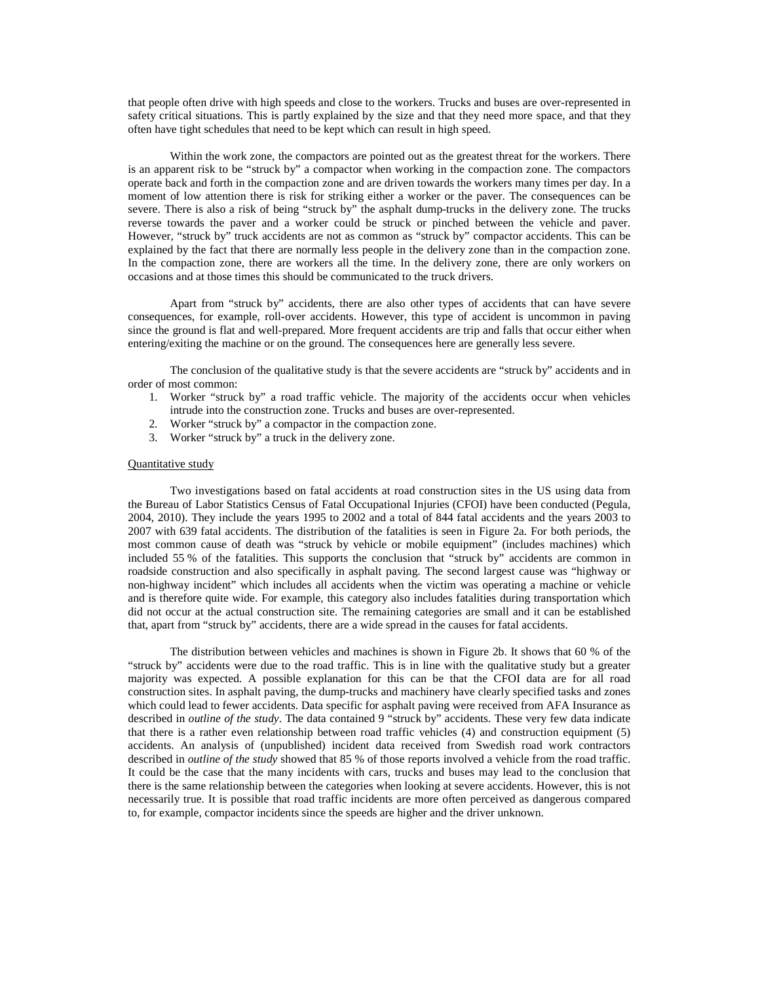that people often drive with high speeds and close to the workers. Trucks and buses are over-represented in safety critical situations. This is partly explained by the size and that they need more space, and that they often have tight schedules that need to be kept which can result in high speed.

Within the work zone, the compactors are pointed out as the greatest threat for the workers. There is an apparent risk to be "struck by" a compactor when working in the compaction zone. The compactors operate back and forth in the compaction zone and are driven towards the workers many times per day. In a moment of low attention there is risk for striking either a worker or the paver. The consequences can be severe. There is also a risk of being "struck by" the asphalt dump-trucks in the delivery zone. The trucks reverse towards the paver and a worker could be struck or pinched between the vehicle and paver. However, "struck by" truck accidents are not as common as "struck by" compactor accidents. This can be explained by the fact that there are normally less people in the delivery zone than in the compaction zone. In the compaction zone, there are workers all the time. In the delivery zone, there are only workers on occasions and at those times this should be communicated to the truck drivers.

Apart from "struck by" accidents, there are also other types of accidents that can have severe consequences, for example, roll-over accidents. However, this type of accident is uncommon in paving since the ground is flat and well-prepared. More frequent accidents are trip and falls that occur either when entering/exiting the machine or on the ground. The consequences here are generally less severe.

The conclusion of the qualitative study is that the severe accidents are "struck by" accidents and in order of most common:

- 1. Worker "struck by" a road traffic vehicle. The majority of the accidents occur when vehicles intrude into the construction zone. Trucks and buses are over-represented.
- 2. Worker "struck by" a compactor in the compaction zone.
- 3. Worker "struck by" a truck in the delivery zone.

#### Quantitative study

Two investigations based on fatal accidents at road construction sites in the US using data from the Bureau of Labor Statistics Census of Fatal Occupational Injuries (CFOI) have been conducted (Pegula, 2004, 2010). They include the years 1995 to 2002 and a total of 844 fatal accidents and the years 2003 to 2007 with 639 fatal accidents. The distribution of the fatalities is seen in Figure 2a. For both periods, the most common cause of death was "struck by vehicle or mobile equipment" (includes machines) which included 55 % of the fatalities. This supports the conclusion that "struck by" accidents are common in roadside construction and also specifically in asphalt paving. The second largest cause was "highway or non-highway incident" which includes all accidents when the victim was operating a machine or vehicle and is therefore quite wide. For example, this category also includes fatalities during transportation which did not occur at the actual construction site. The remaining categories are small and it can be established that, apart from "struck by" accidents, there are a wide spread in the causes for fatal accidents.

The distribution between vehicles and machines is shown in Figure 2b. It shows that 60 % of the "struck by" accidents were due to the road traffic. This is in line with the qualitative study but a greater majority was expected. A possible explanation for this can be that the CFOI data are for all road construction sites. In asphalt paving, the dump-trucks and machinery have clearly specified tasks and zones which could lead to fewer accidents. Data specific for asphalt paving were received from AFA Insurance as described in *outline of the study*. The data contained 9 "struck by" accidents. These very few data indicate that there is a rather even relationship between road traffic vehicles (4) and construction equipment (5) accidents. An analysis of (unpublished) incident data received from Swedish road work contractors described in *outline of the study* showed that 85 % of those reports involved a vehicle from the road traffic. It could be the case that the many incidents with cars, trucks and buses may lead to the conclusion that there is the same relationship between the categories when looking at severe accidents. However, this is not necessarily true. It is possible that road traffic incidents are more often perceived as dangerous compared to, for example, compactor incidents since the speeds are higher and the driver unknown.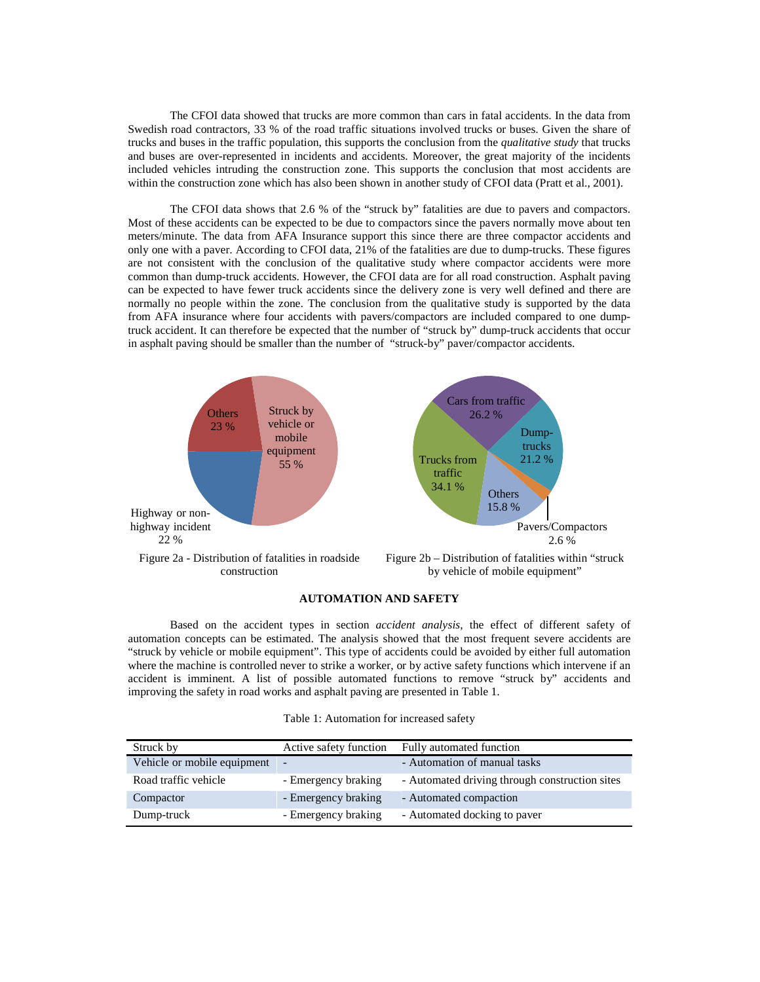The CFOI data showed that trucks are more common than cars in fatal accidents. In the data from Swedish road contractors, 33 % of the road traffic situations involved trucks or buses. Given the share of trucks and buses in the traffic population, this supports the conclusion from the *qualitative study* that trucks and buses are over-represented in incidents and accidents. Moreover, the great majority of the incidents included vehicles intruding the construction zone. This supports the conclusion that most accidents are within the construction zone which has also been shown in another study of CFOI data (Pratt et al., 2001).

The CFOI data shows that 2.6 % of the "struck by" fatalities are due to pavers and compactors. Most of these accidents can be expected to be due to compactors since the pavers normally move about ten meters/minute. The data from AFA Insurance support this since there are three compactor accidents and only one with a paver. According to CFOI data, 21% of the fatalities are due to dump-trucks. These figures are not consistent with the conclusion of the qualitative study where compactor accidents were more common than dump-truck accidents. However, the CFOI data are for all road construction. Asphalt paving can be expected to have fewer truck accidents since the delivery zone is very well defined and there are normally no people within the zone. The conclusion from the qualitative study is supported by the data from AFA insurance where four accidents with pavers/compactors are included compared to one dumptruck accident. It can therefore be expected that the number of "struck by" dump-truck accidents that occur in asphalt paving should be smaller than the number of "struck-by" paver/compactor accidents.



#### **AUTOMATION AND SAFETY**

Based on the accident types in section *accident analysis*, the effect of different safety of automation concepts can be estimated. The analysis showed that the most frequent severe accidents are "struck by vehicle or mobile equipment". This type of accidents could be avoided by either full automation where the machine is controlled never to strike a worker, or by active safety functions which intervene if an accident is imminent. A list of possible automated functions to remove "struck by" accidents and improving the safety in road works and asphalt paving are presented in Table 1.

| Struck by                   | Active safety function | Fully automated function                       |
|-----------------------------|------------------------|------------------------------------------------|
| Vehicle or mobile equipment |                        | - Automation of manual tasks                   |
| Road traffic vehicle        | - Emergency braking    | - Automated driving through construction sites |
| Compactor                   | - Emergency braking    | - Automated compaction                         |
| Dump-truck                  | - Emergency braking    | - Automated docking to paver                   |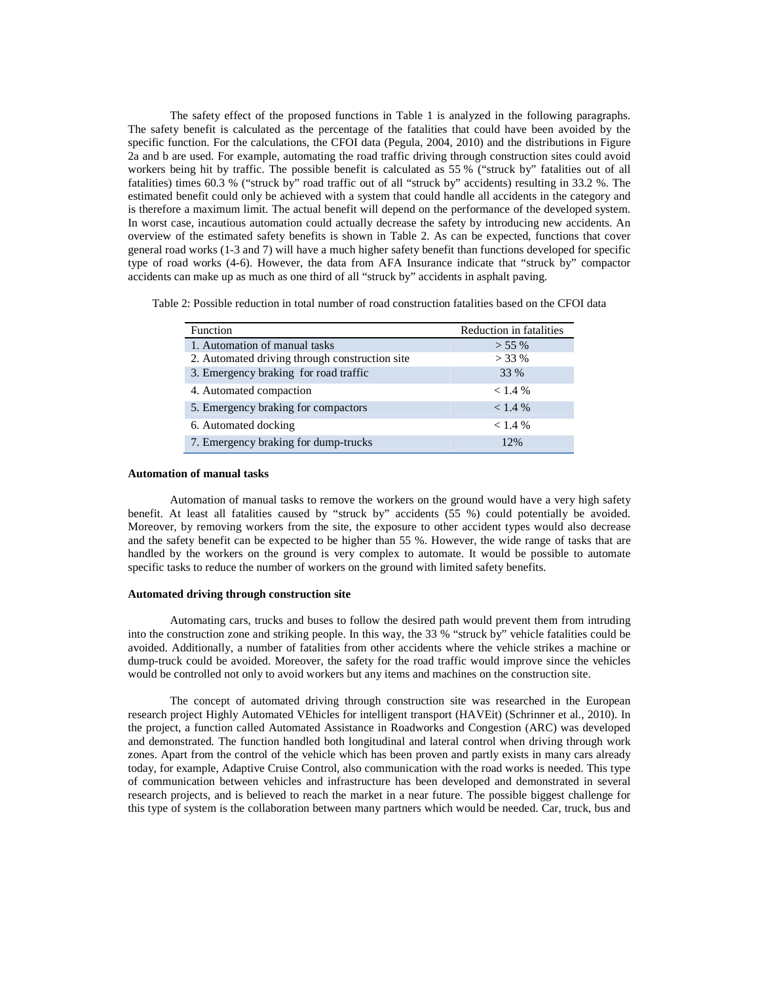The safety effect of the proposed functions in Table 1 is analyzed in the following paragraphs. The safety benefit is calculated as the percentage of the fatalities that could have been avoided by the specific function. For the calculations, the CFOI data (Pegula, 2004, 2010) and the distributions in Figure 2a and b are used. For example, automating the road traffic driving through construction sites could avoid workers being hit by traffic. The possible benefit is calculated as 55 % ("struck by" fatalities out of all fatalities) times 60.3 % ("struck by" road traffic out of all "struck by" accidents) resulting in 33.2 %. The estimated benefit could only be achieved with a system that could handle all accidents in the category and is therefore a maximum limit. The actual benefit will depend on the performance of the developed system. In worst case, incautious automation could actually decrease the safety by introducing new accidents. An overview of the estimated safety benefits is shown in Table 2. As can be expected, functions that cover general road works (1-3 and 7) will have a much higher safety benefit than functions developed for specific type of road works (4-6). However, the data from AFA Insurance indicate that "struck by" compactor accidents can make up as much as one third of all "struck by" accidents in asphalt paving.

Table 2: Possible reduction in total number of road construction fatalities based on the CFOI data

| <b>Function</b>                                | Reduction in fatalities |
|------------------------------------------------|-------------------------|
| 1. Automation of manual tasks                  | $> 55\%$                |
| 2. Automated driving through construction site | $>$ 33 %                |
| 3. Emergency braking for road traffic          | 33 %                    |
| 4. Automated compaction                        | < 1.4 %                 |
| 5. Emergency braking for compactors            | < 1.4 %                 |
| 6. Automated docking                           | < 1.4 %                 |
| 7. Emergency braking for dump-trucks           | 12%                     |

#### **Automation of manual tasks**

Automation of manual tasks to remove the workers on the ground would have a very high safety benefit. At least all fatalities caused by "struck by" accidents (55 %) could potentially be avoided. Moreover, by removing workers from the site, the exposure to other accident types would also decrease and the safety benefit can be expected to be higher than 55 %. However, the wide range of tasks that are handled by the workers on the ground is very complex to automate. It would be possible to automate specific tasks to reduce the number of workers on the ground with limited safety benefits.

#### **Automated driving through construction site**

Automating cars, trucks and buses to follow the desired path would prevent them from intruding into the construction zone and striking people. In this way, the 33 % "struck by" vehicle fatalities could be avoided. Additionally, a number of fatalities from other accidents where the vehicle strikes a machine or dump-truck could be avoided. Moreover, the safety for the road traffic would improve since the vehicles would be controlled not only to avoid workers but any items and machines on the construction site.

The concept of automated driving through construction site was researched in the European research project Highly Automated VEhicles for intelligent transport (HAVEit) (Schrinner et al., 2010). In the project, a function called Automated Assistance in Roadworks and Congestion (ARC) was developed and demonstrated. The function handled both longitudinal and lateral control when driving through work zones. Apart from the control of the vehicle which has been proven and partly exists in many cars already today, for example, Adaptive Cruise Control, also communication with the road works is needed. This type of communication between vehicles and infrastructure has been developed and demonstrated in several research projects, and is believed to reach the market in a near future. The possible biggest challenge for this type of system is the collaboration between many partners which would be needed. Car, truck, bus and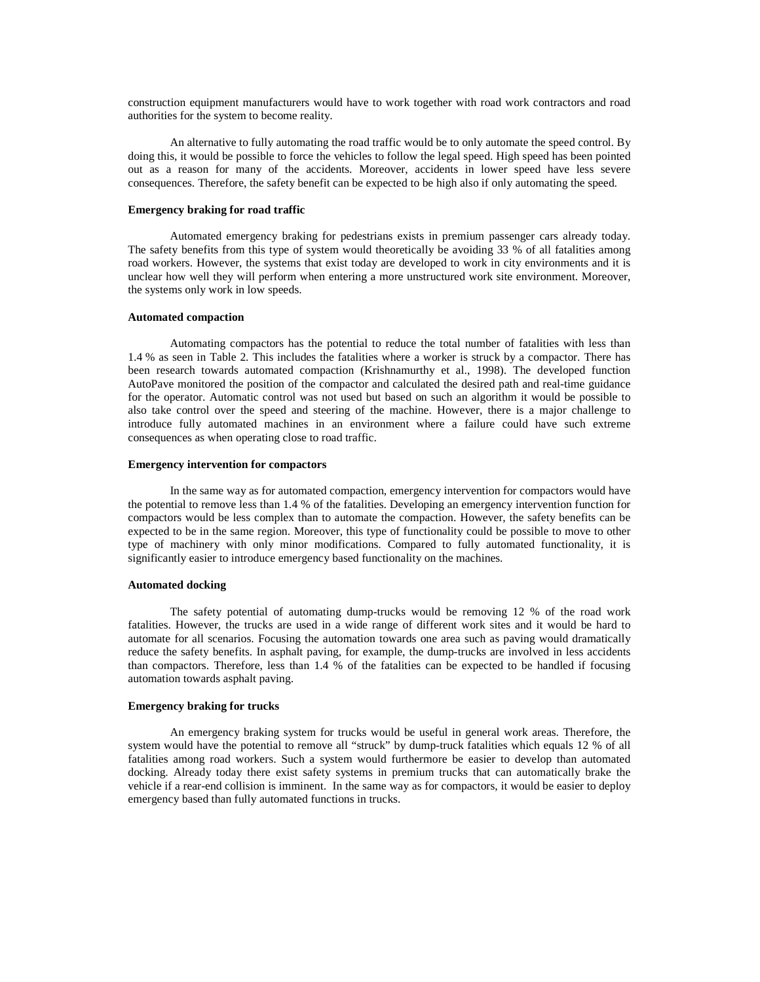construction equipment manufacturers would have to work together with road work contractors and road authorities for the system to become reality.

An alternative to fully automating the road traffic would be to only automate the speed control. By doing this, it would be possible to force the vehicles to follow the legal speed. High speed has been pointed out as a reason for many of the accidents. Moreover, accidents in lower speed have less severe consequences. Therefore, the safety benefit can be expected to be high also if only automating the speed.

#### **Emergency braking for road traffic**

Automated emergency braking for pedestrians exists in premium passenger cars already today. The safety benefits from this type of system would theoretically be avoiding 33 % of all fatalities among road workers. However, the systems that exist today are developed to work in city environments and it is unclear how well they will perform when entering a more unstructured work site environment. Moreover, the systems only work in low speeds.

#### **Automated compaction**

Automating compactors has the potential to reduce the total number of fatalities with less than 1.4 % as seen in Table 2. This includes the fatalities where a worker is struck by a compactor. There has been research towards automated compaction (Krishnamurthy et al., 1998). The developed function AutoPave monitored the position of the compactor and calculated the desired path and real-time guidance for the operator. Automatic control was not used but based on such an algorithm it would be possible to also take control over the speed and steering of the machine. However, there is a major challenge to introduce fully automated machines in an environment where a failure could have such extreme consequences as when operating close to road traffic.

#### **Emergency intervention for compactors**

In the same way as for automated compaction, emergency intervention for compactors would have the potential to remove less than 1.4 % of the fatalities. Developing an emergency intervention function for compactors would be less complex than to automate the compaction. However, the safety benefits can be expected to be in the same region. Moreover, this type of functionality could be possible to move to other type of machinery with only minor modifications. Compared to fully automated functionality, it is significantly easier to introduce emergency based functionality on the machines.

#### **Automated docking**

The safety potential of automating dump-trucks would be removing 12 % of the road work fatalities. However, the trucks are used in a wide range of different work sites and it would be hard to automate for all scenarios. Focusing the automation towards one area such as paving would dramatically reduce the safety benefits. In asphalt paving, for example, the dump-trucks are involved in less accidents than compactors. Therefore, less than 1.4 % of the fatalities can be expected to be handled if focusing automation towards asphalt paving.

#### **Emergency braking for trucks**

An emergency braking system for trucks would be useful in general work areas. Therefore, the system would have the potential to remove all "struck" by dump-truck fatalities which equals 12 % of all fatalities among road workers. Such a system would furthermore be easier to develop than automated docking. Already today there exist safety systems in premium trucks that can automatically brake the vehicle if a rear-end collision is imminent. In the same way as for compactors, it would be easier to deploy emergency based than fully automated functions in trucks.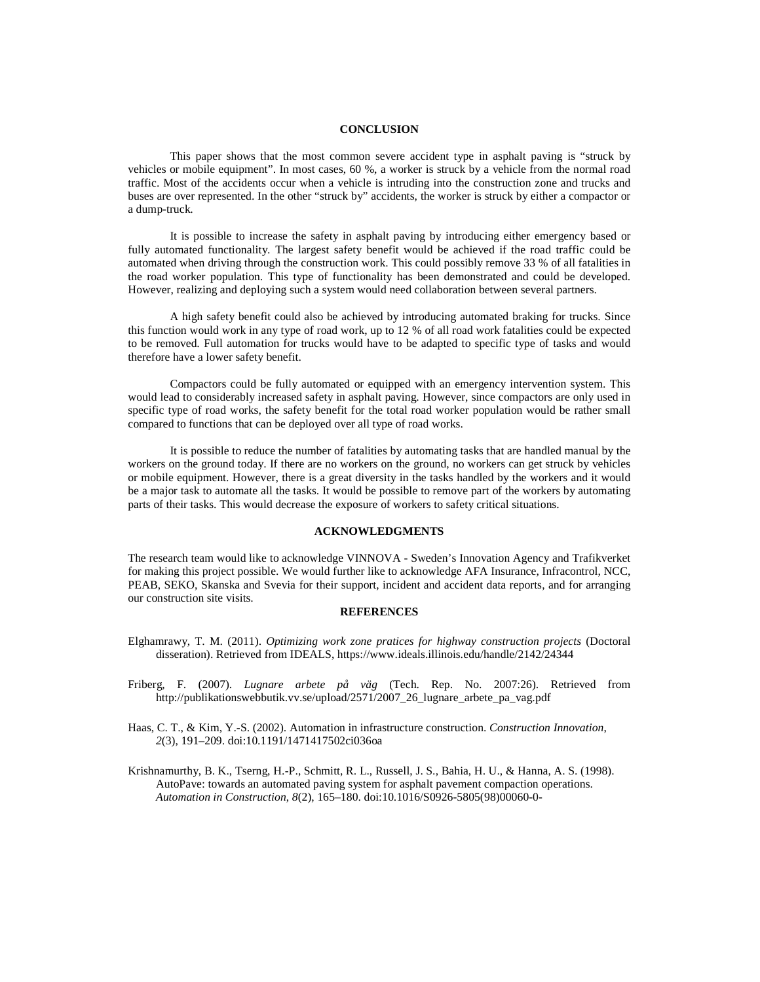#### **CONCLUSION**

This paper shows that the most common severe accident type in asphalt paving is "struck by vehicles or mobile equipment". In most cases, 60 %, a worker is struck by a vehicle from the normal road traffic. Most of the accidents occur when a vehicle is intruding into the construction zone and trucks and buses are over represented. In the other "struck by" accidents, the worker is struck by either a compactor or a dump-truck.

It is possible to increase the safety in asphalt paving by introducing either emergency based or fully automated functionality. The largest safety benefit would be achieved if the road traffic could be automated when driving through the construction work. This could possibly remove 33 % of all fatalities in the road worker population. This type of functionality has been demonstrated and could be developed. However, realizing and deploying such a system would need collaboration between several partners.

A high safety benefit could also be achieved by introducing automated braking for trucks. Since this function would work in any type of road work, up to 12 % of all road work fatalities could be expected to be removed. Full automation for trucks would have to be adapted to specific type of tasks and would therefore have a lower safety benefit.

Compactors could be fully automated or equipped with an emergency intervention system. This would lead to considerably increased safety in asphalt paving. However, since compactors are only used in specific type of road works, the safety benefit for the total road worker population would be rather small compared to functions that can be deployed over all type of road works.

It is possible to reduce the number of fatalities by automating tasks that are handled manual by the workers on the ground today. If there are no workers on the ground, no workers can get struck by vehicles or mobile equipment. However, there is a great diversity in the tasks handled by the workers and it would be a major task to automate all the tasks. It would be possible to remove part of the workers by automating parts of their tasks. This would decrease the exposure of workers to safety critical situations.

# **ACKNOWLEDGMENTS**

The research team would like to acknowledge VINNOVA - Sweden's Innovation Agency and Trafikverket for making this project possible. We would further like to acknowledge AFA Insurance, Infracontrol, NCC, PEAB, SEKO, Skanska and Svevia for their support, incident and accident data reports, and for arranging our construction site visits.

#### **REFERENCES**

- Elghamrawy, T. M. (2011). *Optimizing work zone pratices for highway construction projects* (Doctoral disseration). Retrieved from IDEALS, https://www.ideals.illinois.edu/handle/2142/24344
- Friberg, F. (2007). *Lugnare arbete på väg* (Tech. Rep. No. 2007:26). Retrieved from http://publikationswebbutik.vv.se/upload/2571/2007\_26\_lugnare\_arbete\_pa\_vag.pdf
- Haas, C. T., & Kim, Y.-S. (2002). Automation in infrastructure construction. *Construction Innovation*, *2*(3), 191–209. doi:10.1191/1471417502ci036oa
- Krishnamurthy, B. K., Tserng, H.-P., Schmitt, R. L., Russell, J. S., Bahia, H. U., & Hanna, A. S. (1998). AutoPave: towards an automated paving system for asphalt pavement compaction operations. *Automation in Construction*, *8*(2), 165–180. doi:10.1016/S0926-5805(98)00060-0-